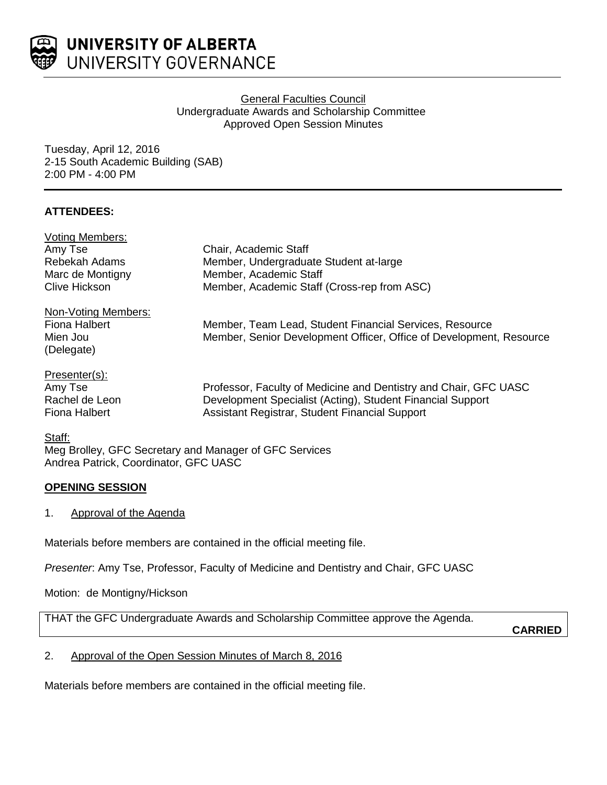

# General Faculties Council Undergraduate Awards and Scholarship Committee Approved Open Session Minutes

Tuesday, April 12, 2016 2-15 South Academic Building (SAB) 2:00 PM - 4:00 PM

# **ATTENDEES:**

| <b>Voting Members:</b> |                                                                     |
|------------------------|---------------------------------------------------------------------|
| Amy Tse                | Chair, Academic Staff                                               |
| Rebekah Adams          | Member, Undergraduate Student at-large                              |
| Marc de Montigny       | Member, Academic Staff                                              |
| Clive Hickson          | Member, Academic Staff (Cross-rep from ASC)                         |
| Non-Voting Members:    |                                                                     |
| Fiona Halbert          | Member, Team Lead, Student Financial Services, Resource             |
| Mien Jou               | Member, Senior Development Officer, Office of Development, Resource |
| (Delegate)             |                                                                     |
| Presenter(s):          |                                                                     |
| Amy Tse                | Professor, Faculty of Medicine and Dentistry and Chair, GFC UASC    |
| Rachel de Leon         | Development Specialist (Acting), Student Financial Support          |
| Fiona Halbert          | Assistant Registrar, Student Financial Support                      |
|                        |                                                                     |

#### Staff:

Meg Brolley, GFC Secretary and Manager of GFC Services Andrea Patrick, Coordinator, GFC UASC

# **OPENING SESSION**

1. Approval of the Agenda

Materials before members are contained in the official meeting file.

*Presenter*: Amy Tse, Professor, Faculty of Medicine and Dentistry and Chair, GFC UASC

Motion: de Montigny/Hickson

THAT the GFC Undergraduate Awards and Scholarship Committee approve the Agenda.

**CARRIED**

# 2. Approval of the Open Session Minutes of March 8, 2016

Materials before members are contained in the official meeting file.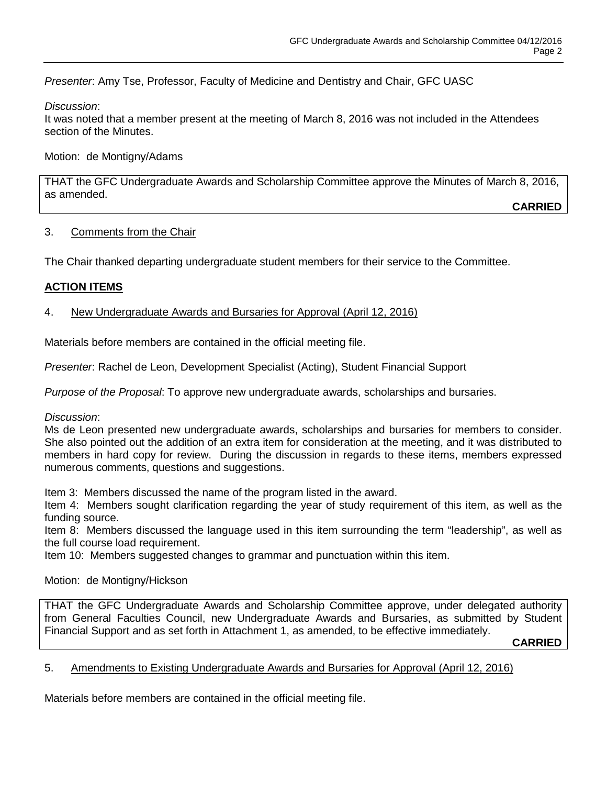*Presenter*: Amy Tse, Professor, Faculty of Medicine and Dentistry and Chair, GFC UASC

## *Discussion*:

It was noted that a member present at the meeting of March 8, 2016 was not included in the Attendees section of the Minutes.

Motion: de Montigny/Adams

THAT the GFC Undergraduate Awards and Scholarship Committee approve the Minutes of March 8, 2016, as amended.

**CARRIED**

## 3. Comments from the Chair

The Chair thanked departing undergraduate student members for their service to the Committee.

# **ACTION ITEMS**

## 4. New Undergraduate Awards and Bursaries for Approval (April 12, 2016)

Materials before members are contained in the official meeting file.

*Presenter*: Rachel de Leon, Development Specialist (Acting), Student Financial Support

*Purpose of the Proposal*: To approve new undergraduate awards, scholarships and bursaries.

*Discussion*:

Ms de Leon presented new undergraduate awards, scholarships and bursaries for members to consider. She also pointed out the addition of an extra item for consideration at the meeting, and it was distributed to members in hard copy for review. During the discussion in regards to these items, members expressed numerous comments, questions and suggestions.

Item 3: Members discussed the name of the program listed in the award.

Item 4: Members sought clarification regarding the year of study requirement of this item, as well as the funding source.

Item 8: Members discussed the language used in this item surrounding the term "leadership", as well as the full course load requirement.

Item 10: Members suggested changes to grammar and punctuation within this item.

Motion: de Montigny/Hickson

THAT the GFC Undergraduate Awards and Scholarship Committee approve, under delegated authority from General Faculties Council, new Undergraduate Awards and Bursaries, as submitted by Student Financial Support and as set forth in Attachment 1, as amended, to be effective immediately.

**CARRIED**

#### 5. Amendments to Existing Undergraduate Awards and Bursaries for Approval (April 12, 2016)

Materials before members are contained in the official meeting file.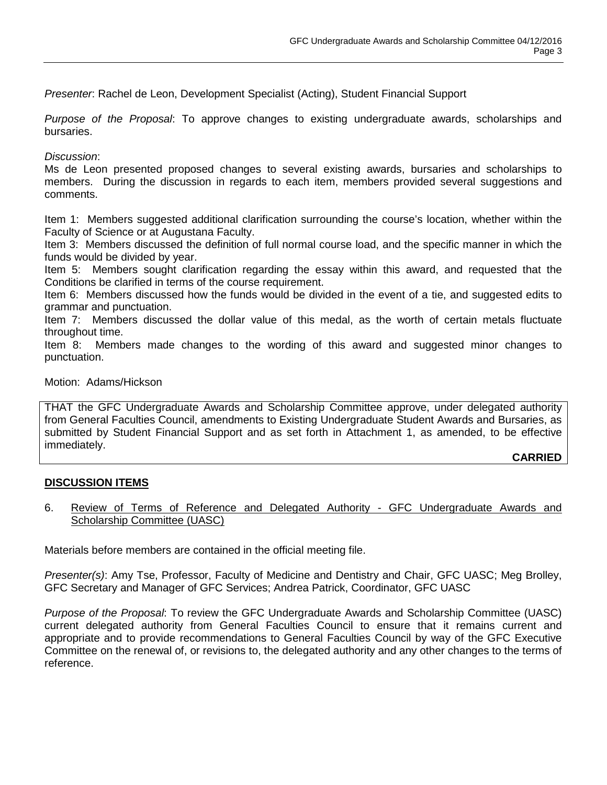*Presenter*: Rachel de Leon, Development Specialist (Acting), Student Financial Support

*Purpose of the Proposal*: To approve changes to existing undergraduate awards, scholarships and bursaries.

### *Discussion*:

Ms de Leon presented proposed changes to several existing awards, bursaries and scholarships to members. During the discussion in regards to each item, members provided several suggestions and comments.

Item 1: Members suggested additional clarification surrounding the course's location, whether within the Faculty of Science or at Augustana Faculty.

Item 3: Members discussed the definition of full normal course load, and the specific manner in which the funds would be divided by year.

Item 5: Members sought clarification regarding the essay within this award, and requested that the Conditions be clarified in terms of the course requirement.

Item 6: Members discussed how the funds would be divided in the event of a tie, and suggested edits to grammar and punctuation.

Item 7: Members discussed the dollar value of this medal, as the worth of certain metals fluctuate throughout time.

Item 8: Members made changes to the wording of this award and suggested minor changes to punctuation.

## Motion: Adams/Hickson

THAT the GFC Undergraduate Awards and Scholarship Committee approve, under delegated authority from General Faculties Council, amendments to Existing Undergraduate Student Awards and Bursaries, as submitted by Student Financial Support and as set forth in Attachment 1, as amended, to be effective immediately.

#### **CARRIED**

# **DISCUSSION ITEMS**

6. Review of Terms of Reference and Delegated Authority - GFC Undergraduate Awards and Scholarship Committee (UASC)

Materials before members are contained in the official meeting file.

*Presenter(s)*: Amy Tse, Professor, Faculty of Medicine and Dentistry and Chair, GFC UASC; Meg Brolley, GFC Secretary and Manager of GFC Services; Andrea Patrick, Coordinator, GFC UASC

*Purpose of the Proposal*: To review the GFC Undergraduate Awards and Scholarship Committee (UASC) current delegated authority from General Faculties Council to ensure that it remains current and appropriate and to provide recommendations to General Faculties Council by way of the GFC Executive Committee on the renewal of, or revisions to, the delegated authority and any other changes to the terms of reference.